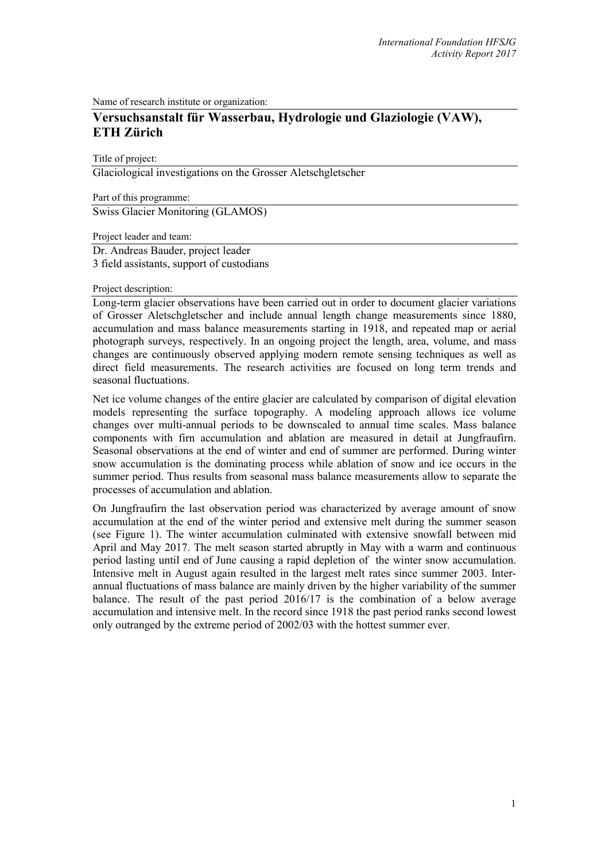Name of research institute or organization:

# **Versuchsanstalt für Wasserbau, Hydrologie und Glaziologie (VAW), ETH Zürich**

Title of project:

Glaciological investigations on the Grosser Aletschgletscher

Part of this programme: Swiss Glacier Monitoring (GLAMOS)

Project leader and team: Dr. Andreas Bauder, project leader 3 field assistants, support of custodians

Project description:

Long-term glacier observations have been carried out in order to document glacier variations of Grosser Aletschgletscher and include annual length change measurements since 1880, accumulation and mass balance measurements starting in 1918, and repeated map or aerial photograph surveys, respectively. In an ongoing project the length, area, volume, and mass changes are continuously observed applying modern remote sensing techniques as well as direct field measurements. The research activities are focused on long term trends and seasonal fluctuations.

Net ice volume changes of the entire glacier are calculated by comparison of digital elevation models representing the surface topography. A modeling approach allows ice volume changes over multi-annual periods to be downscaled to annual time scales. Mass balance components with firn accumulation and ablation are measured in detail at Jungfraufirn. Seasonal observations at the end of winter and end of summer are performed. During winter snow accumulation is the dominating process while ablation of snow and ice occurs in the summer period. Thus results from seasonal mass balance measurements allow to separate the processes of accumulation and ablation.

On Jungfraufirn the last observation period was characterized by average amount of snow accumulation at the end of the winter period and extensive melt during the summer season (see Figure 1). The winter accumulation culminated with extensive snowfall between mid April and May 2017. The melt season started abruptly in May with a warm and continuous period lasting until end of June causing a rapid depletion of the winter snow accumulation. Intensive melt in August again resulted in the largest melt rates since summer 2003. Interannual fluctuations of mass balance are mainly driven by the higher variability of the summer balance. The result of the past period 2016/17 is the combination of a below average accumulation and intensive melt. In the record since 1918 the past period ranks second lowest only outranged by the extreme period of 2002/03 with the hottest summer ever.